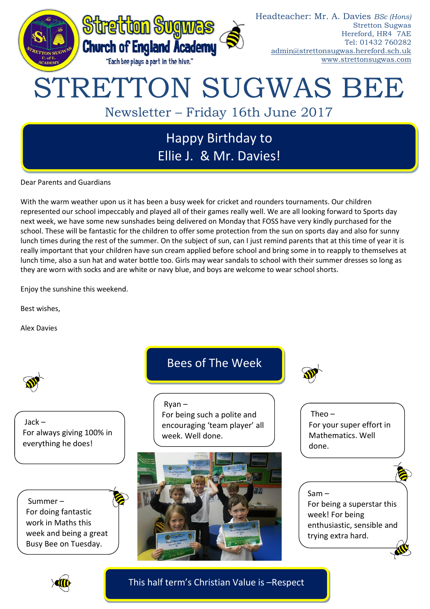

Dear Parents and Guardians

With the warm weather upon us it has been a busy week for cricket and rounders tournaments. Our children represented our school impeccably and played all of their games really well. We are all looking forward to Sports day next week, we have some new sunshades being delivered on Monday that FOSS have very kindly purchased for the school. These will be fantastic for the children to offer some protection from the sun on sports day and also for sunny lunch times during the rest of the summer. On the subject of sun, can I just remind parents that at this time of year it is really important that your children have sun cream applied before school and bring some in to reapply to themselves at lunch time, also a sun hat and water bottle too. Girls may wear sandals to school with their summer dresses so long as they are worn with socks and are white or navy blue, and boys are welcome to wear school shorts.

Enjoy the sunshine this weekend.

Best wishes,

Alex Davies





This half term's Christian Value is –Respect